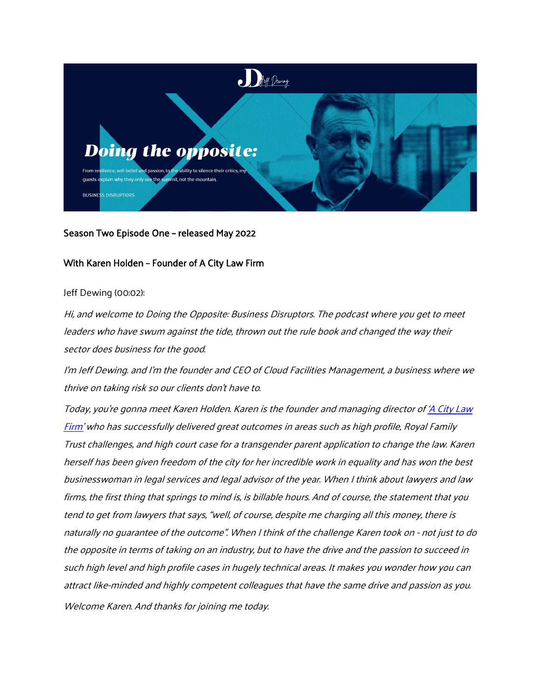

# Season Two Episode One – released May 2022

# With Karen Holden – Founder of A City Law Firm

## Jeff Dewing (00:02):

Hi, and welcome to Doing the Opposite: Business Disruptors. The podcast where you get to meet leaders who have swum against the tide, thrown out the rule book and changed the way their sector does business for the good.

I'm Jeff Dewing. and I'm the founder and CEO of Cloud Facilities Management, a business where we thrive on taking risk so our clients don't have to.

Today, you're gonna meet Karen Holden. Karen is the founder and managing director o[f 'A City Law](https://acitylawfirm.com/about-us/)  [Firm'](https://acitylawfirm.com/about-us/) who has successfully delivered great outcomes in areas such as high profile, Royal Family Trust challenges, and high court case for a transgender parent application to change the law. Karen herself has been given freedom of the city for her incredible work in equality and has won the best businesswoman in legal services and legal advisor of the year. When I think about lawyers and law firms, the first thing that springs to mind is, is billable hours. And of course, the statement that you tend to get from lawyers that says, "well, of course, despite me charging all this money, there is naturally no guarantee of the outcome". When I think of the challenge Karen took on - not just to do the opposite in terms of taking on an industry, but to have the drive and the passion to succeed in such high level and high profile cases in hugely technical areas. It makes you wonder how you can attract like-minded and highly competent colleagues that have the same drive and passion as you. Welcome Karen. And thanks for joining me today.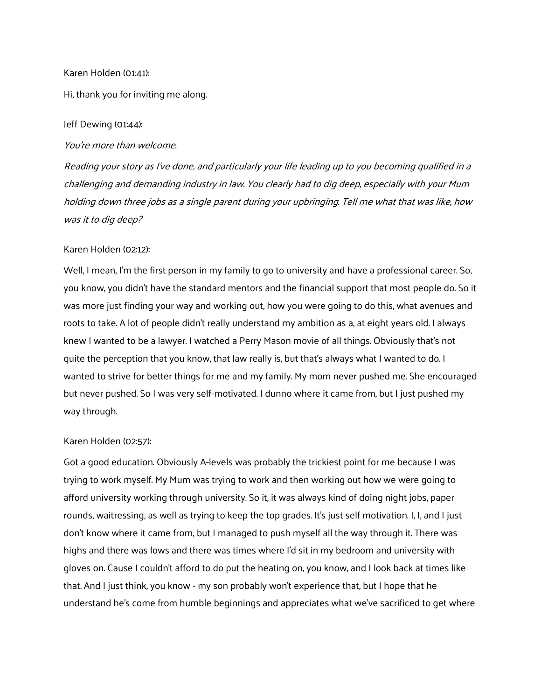## Karen Holden (01:41):

Hi, thank you for inviting me along.

### Jeff Dewing (01:44):

You're more than welcome.

Reading your story as I've done, and particularly your life leading up to you becoming qualified in a challenging and demanding industry in law. You clearly had to dig deep, especially with your Mum holding down three jobs as a single parent during your upbringing. Tell me what that was like, how was it to dig deep?

# Karen Holden (02:12):

Well, I mean, I'm the first person in my family to go to university and have a professional career. So, you know, you didn't have the standard mentors and the financial support that most people do. So it was more just finding your way and working out, how you were going to do this, what avenues and roots to take. A lot of people didn't really understand my ambition as a, at eight years old. I always knew I wanted to be a lawyer. I watched a Perry Mason movie of all things. Obviously that's not quite the perception that you know, that law really is, but that's always what I wanted to do. I wanted to strive for better things for me and my family. My mom never pushed me. She encouraged but never pushed. So I was very self-motivated. I dunno where it came from, but I just pushed my way through.

# Karen Holden (02:57):

Got a good education. Obviously A-levels was probably the trickiest point for me because I was trying to work myself. My Mum was trying to work and then working out how we were going to afford university working through university. So it, it was always kind of doing night jobs, paper rounds, waitressing, as well as trying to keep the top grades. It's just self motivation. I, I, and I just don't know where it came from, but I managed to push myself all the way through it. There was highs and there was lows and there was times where I'd sit in my bedroom and university with gloves on. Cause I couldn't afford to do put the heating on, you know, and I look back at times like that. And I just think, you know - my son probably won't experience that, but I hope that he understand he's come from humble beginnings and appreciates what we've sacrificed to get where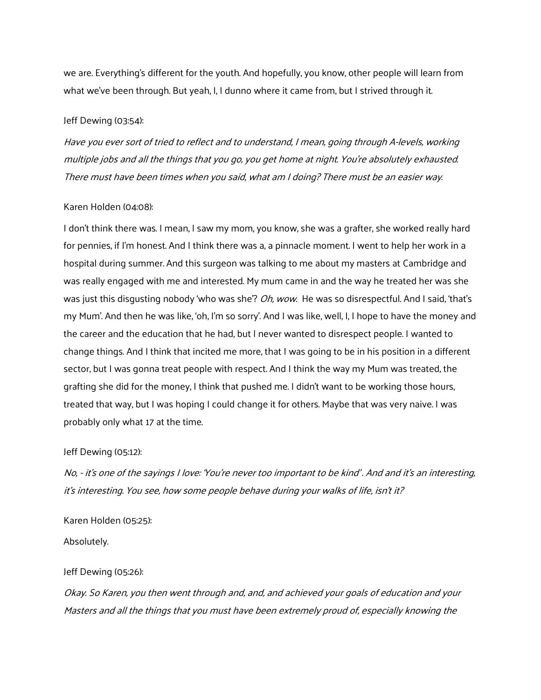we are. Everything's different for the youth. And hopefully, you know, other people will learn from what we've been through. But yeah, I, I dunno where it came from, but I strived through it.

### Jeff Dewing (03:54):

Have you ever sort of tried to reflect and to understand, I mean, going through A-levels, working multiple jobs and all the things that you go, you get home at night. You're absolutely exhausted. There must have been times when you said, what am I doing? There must be an easier way.

#### Karen Holden (04:08):

I don't think there was. I mean, I saw my mom, you know, she was a grafter, she worked really hard for pennies, if I'm honest. And I think there was a, a pinnacle moment. I went to help her work in a hospital during summer. And this surgeon was talking to me about my masters at Cambridge and was really engaged with me and interested. My mum came in and the way he treated her was she was just this disgusting nobody 'who was she"? *Oh, wow.* He was so disrespectful. And I said, 'that's my Mum'. And then he was like, 'oh, I'm so sorry'. And I was like, well, I, I hope to have the money and the career and the education that he had, but I never wanted to disrespect people. I wanted to change things. And I think that incited me more, that I was going to be in his position in a different sector, but I was gonna treat people with respect. And I think the way my Mum was treated, the grafting she did for the money, I think that pushed me. I didn't want to be working those hours, treated that way, but I was hoping I could change it for others. Maybe that was very naive. I was probably only what 17 at the time.

### Jeff Dewing (05:12):

No, - it's one of the sayings I love: 'You're never too important to be kind' . And and it's an interesting, it's interesting. You see, how some people behave during your walks of life, isn't it?

Karen Holden (05:25): Absolutely.

#### Jeff Dewing (05:26):

Okay. So Karen, you then went through and, and, and achieved your goals of education and your Masters and all the things that you must have been extremely proud of, especially knowing the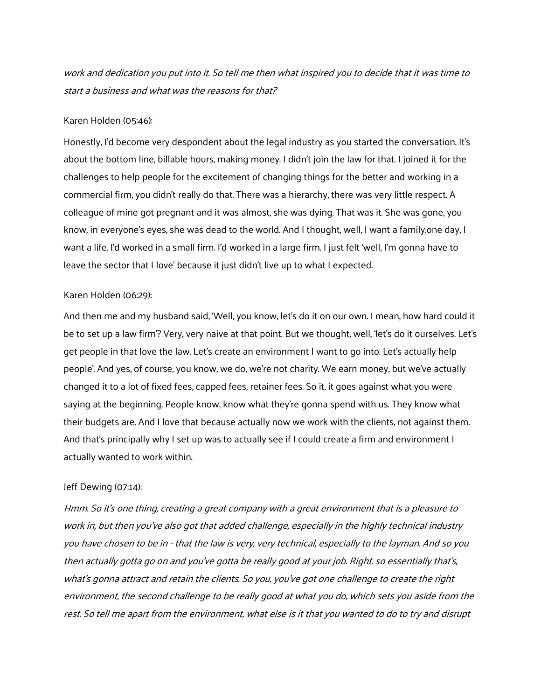work and dedication you put into it. So tell me then what inspired you to decide that it was time to start a business and what was the reasons for that?

### Karen Holden (05:46):

Honestly, I'd become very despondent about the legal industry as you started the conversation. It's about the bottom line, billable hours, making money. I didn't join the law for that. I joined it for the challenges to help people for the excitement of changing things for the better and working in a commercial firm, you didn't really do that. There was a hierarchy, there was very little respect. A colleague of mine got pregnant and it was almost, she was dying. That was it. She was gone, you know, in everyone's eyes, she was dead to the world. And I thought, well, I want a family.one day, I want a life. I'd worked in a small firm. I'd worked in a large firm. I just felt 'well, I'm gonna have to leave the sector that I love' because it just didn't live up to what I expected.

## Karen Holden (06:29):

And then me and my husband said, 'Well, you know, let's do it on our own. I mean, how hard could it be to set up a law firm'? Very, very naive at that point. But we thought, well, 'let's do it ourselves. Let's get people in that love the law. Let's create an environment I want to go into. Let's actually help people'. And yes, of course, you know, we do, we're not charity. We earn money, but we've actually changed it to a lot of fixed fees, capped fees, retainer fees. So it, it goes against what you were saying at the beginning. People know, know what they're gonna spend with us. They know what their budgets are. And I love that because actually now we work with the clients, not against them. And that's principally why I set up was to actually see if I could create a firm and environment I actually wanted to work within.

### Jeff Dewing (07:14):

Hmm. So it's one thing, creating a great company with a great environment that is a pleasure to work in, but then you've also got that added challenge, especially in the highly technical industry you have chosen to be in - that the law is very, very technical, especially to the layman. And so you then actually gotta go on and you've gotta be really good at your job. Right. so essentially that's, what's gonna attract and retain the clients. So you, you've got one challenge to create the right environment, the second challenge to be really good at what you do, which sets you aside from the rest. So tell me apart from the environment, what else is it that you wanted to do to try and disrupt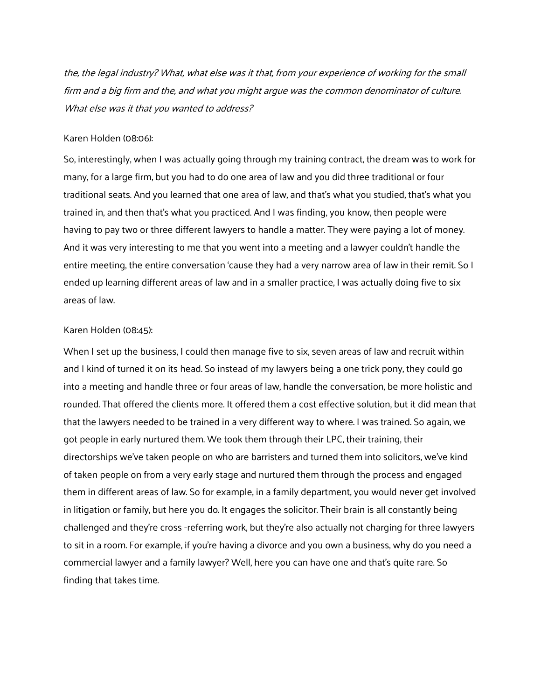the, the legal industry? What, what else was it that, from your experience of working for the small firm and a big firm and the, and what you might argue was the common denominator of culture. What else was it that you wanted to address?

#### Karen Holden (08:06):

So, interestingly, when I was actually going through my training contract, the dream was to work for many, for a large firm, but you had to do one area of law and you did three traditional or four traditional seats. And you learned that one area of law, and that's what you studied, that's what you trained in, and then that's what you practiced. And I was finding, you know, then people were having to pay two or three different lawyers to handle a matter. They were paying a lot of money. And it was very interesting to me that you went into a meeting and a lawyer couldn't handle the entire meeting, the entire conversation 'cause they had a very narrow area of law in their remit. So I ended up learning different areas of law and in a smaller practice, I was actually doing five to six areas of law.

## Karen Holden (08:45):

When I set up the business, I could then manage five to six, seven areas of law and recruit within and I kind of turned it on its head. So instead of my lawyers being a one trick pony, they could go into a meeting and handle three or four areas of law, handle the conversation, be more holistic and rounded. That offered the clients more. It offered them a cost effective solution, but it did mean that that the lawyers needed to be trained in a very different way to where. I was trained. So again, we got people in early nurtured them. We took them through their LPC, their training, their directorships we've taken people on who are barristers and turned them into solicitors, we've kind of taken people on from a very early stage and nurtured them through the process and engaged them in different areas of law. So for example, in a family department, you would never get involved in litigation or family, but here you do. It engages the solicitor. Their brain is all constantly being challenged and they're cross -referring work, but they're also actually not charging for three lawyers to sit in a room. For example, if you're having a divorce and you own a business, why do you need a commercial lawyer and a family lawyer? Well, here you can have one and that's quite rare. So finding that takes time.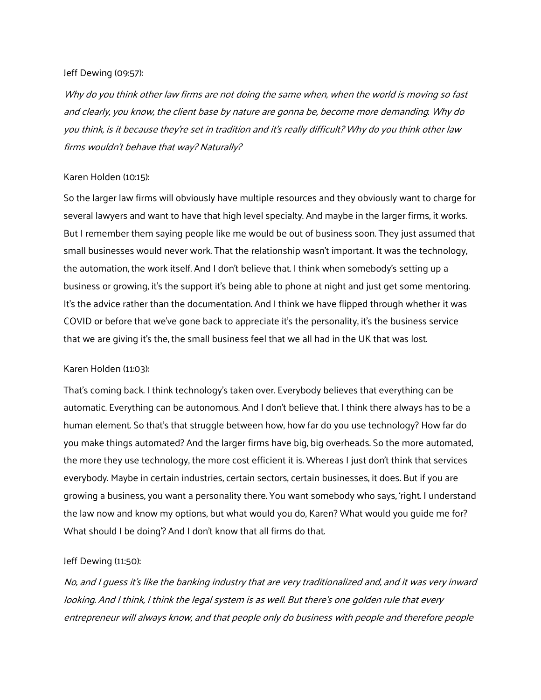## Jeff Dewing (09:57):

Why do you think other law firms are not doing the same when, when the world is moving so fast and clearly, you know, the client base by nature are gonna be, become more demanding. Why do you think, is it because they're set in tradition and it's really difficult? Why do you think other law firms wouldn't behave that way? Naturally?

## Karen Holden (10:15):

So the larger law firms will obviously have multiple resources and they obviously want to charge for several lawyers and want to have that high level specialty. And maybe in the larger firms, it works. But I remember them saying people like me would be out of business soon. They just assumed that small businesses would never work. That the relationship wasn't important. It was the technology, the automation, the work itself. And I don't believe that. I think when somebody's setting up a business or growing, it's the support it's being able to phone at night and just get some mentoring. It's the advice rather than the documentation. And I think we have flipped through whether it was COVID or before that we've gone back to appreciate it's the personality, it's the business service that we are giving it's the, the small business feel that we all had in the UK that was lost.

## Karen Holden (11:03):

That's coming back. I think technology's taken over. Everybody believes that everything can be automatic. Everything can be autonomous. And I don't believe that. I think there always has to be a human element. So that's that struggle between how, how far do you use technology? How far do you make things automated? And the larger firms have big, big overheads. So the more automated, the more they use technology, the more cost efficient it is. Whereas I just don't think that services everybody. Maybe in certain industries, certain sectors, certain businesses, it does. But if you are growing a business, you want a personality there. You want somebody who says, 'right. I understand the law now and know my options, but what would you do, Karen? What would you guide me for? What should I be doing'? And I don't know that all firms do that.

# Jeff Dewing (11:50):

No, and I guess it's like the banking industry that are very traditionalized and, and it was very inward looking. And I think, I think the legal system is as well. But there's one golden rule that every entrepreneur will always know, and that people only do business with people and therefore people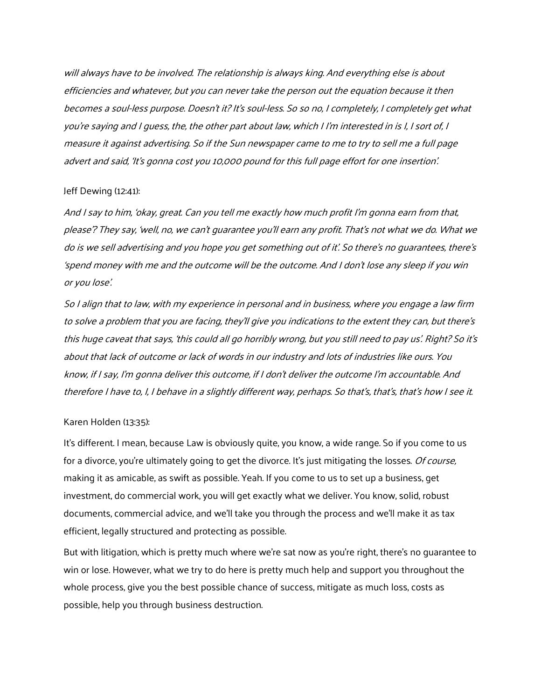will always have to be involved. The relationship is always king. And everything else is about efficiencies and whatever, but you can never take the person out the equation because it then becomes a soul-less purpose. Doesn't it? It's soul-less. So so no, I completely, I completely get what you're saying and I guess, the, the other part about law, which I I'm interested in is I, I sort of, I measure it against advertising. So if the Sun newspaper came to me to try to sell me a full page advert and said, 'It's gonna cost you 10,000 pound for this full page effort for one insertion'.

#### Jeff Dewing (12:41):

And I say to him, 'okay, great. Can you tell me exactly how much profit I'm gonna earn from that, please'? They say, 'well, no, we can't guarantee you'll earn any profit. That's not what we do. What we do is we sell advertising and you hope you get something out of it'. So there's no guarantees, there's 'spend money with me and the outcome will be the outcome. And I don't lose any sleep if you win or you lose'.

So I align that to law, with my experience in personal and in business, where you engage a law firm to solve a problem that you are facing, they'll give you indications to the extent they can, but there's this huge caveat that says, 'this could all go horribly wrong, but you still need to pay us'. Right? So it's about that lack of outcome or lack of words in our industry and lots of industries like ours. You know, if I say, I'm gonna deliver this outcome, if I don't deliver the outcome I'm accountable. And therefore I have to, I, I behave in a slightly different way, perhaps. So that's, that's, that's how I see it.

#### Karen Holden (13:35):

It's different. I mean, because Law is obviously quite, you know, a wide range. So if you come to us for a divorce, you're ultimately going to get the divorce. It's just mitigating the losses. *Of course*, making it as amicable, as swift as possible. Yeah. If you come to us to set up a business, get investment, do commercial work, you will get exactly what we deliver. You know, solid, robust documents, commercial advice, and we'll take you through the process and we'll make it as tax efficient, legally structured and protecting as possible.

But with litigation, which is pretty much where we're sat now as you're right, there's no quarantee to win or lose. However, what we try to do here is pretty much help and support you throughout the whole process, give you the best possible chance of success, mitigate as much loss, costs as possible, help you through business destruction.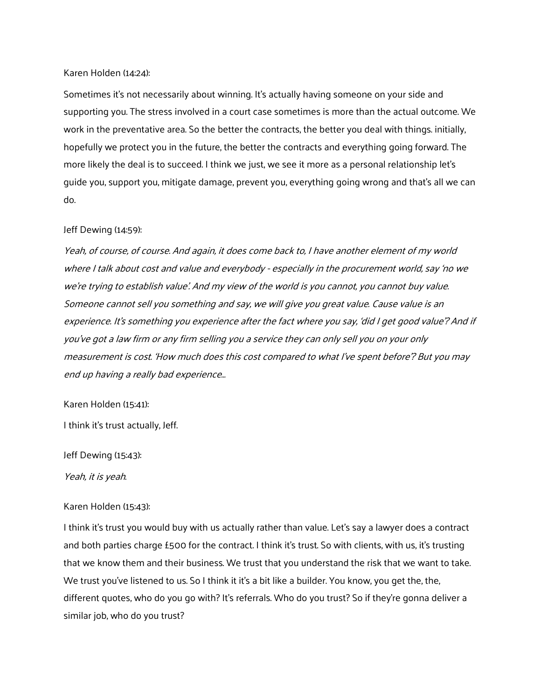## Karen Holden (14:24):

Sometimes it's not necessarily about winning. It's actually having someone on your side and supporting you. The stress involved in a court case sometimes is more than the actual outcome. We work in the preventative area. So the better the contracts, the better you deal with things. initially, hopefully we protect you in the future, the better the contracts and everything going forward. The more likely the deal is to succeed. I think we just, we see it more as a personal relationship let's guide you, support you, mitigate damage, prevent you, everything going wrong and that's all we can do.

## Jeff Dewing (14:59):

Yeah, of course, of course. And again, it does come back to, I have another element of my world where I talk about cost and value and everybody - especially in the procurement world, say 'no we we're trying to establish value'. And my view of the world is you cannot, you cannot buy value. Someone cannot sell you something and say, we will give you great value. Cause value is an experience. It's something you experience after the fact where you say, 'did I get good value'? And if you've got a law firm or any firm selling you a service they can only sell you on your only measurement is cost. 'How much does this cost compared to what I've spent before'? But you may end up having a really bad experience…

### Karen Holden (15:41):

I think it's trust actually, Jeff.

Jeff Dewing (15:43):

Yeah, it is yeah.

# Karen Holden (15:43):

I think it's trust you would buy with us actually rather than value. Let's say a lawyer does a contract and both parties charge £500 for the contract. I think it's trust. So with clients, with us, it's trusting that we know them and their business. We trust that you understand the risk that we want to take. We trust you've listened to us. So I think it it's a bit like a builder. You know, you get the, the, different quotes, who do you go with? It's referrals. Who do you trust? So if they're gonna deliver a similar job, who do you trust?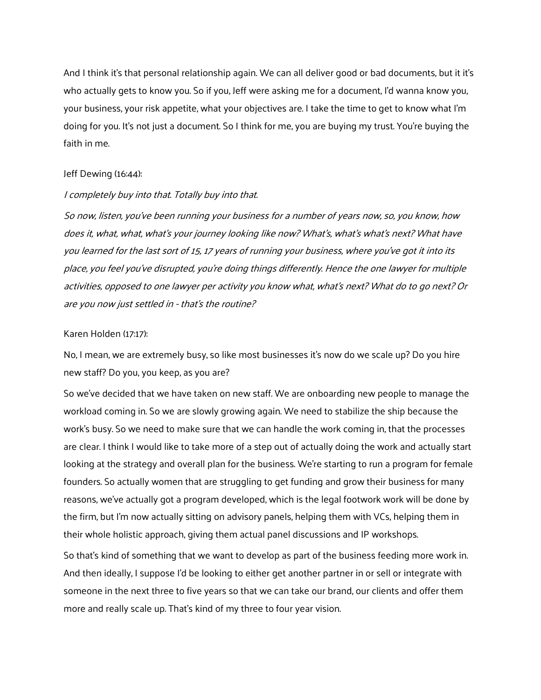And I think it's that personal relationship again. We can all deliver good or bad documents, but it it's who actually gets to know you. So if you, Jeff were asking me for a document, I'd wanna know you, your business, your risk appetite, what your objectives are. I take the time to get to know what I'm doing for you. It's not just a document. So I think for me, you are buying my trust. You're buying the faith in me.

# Jeff Dewing (16:44):

# I completely buy into that. Totally buy into that.

So now, listen, you've been running your business for a number of years now, so, you know, how does it, what, what, what's your journey looking like now? What's, what's what's next? What have you learned for the last sort of 15, 17 years of running your business, where you've got it into its place, you feel you've disrupted, you're doing things differently. Hence the one lawyer for multiple activities, opposed to one lawyer per activity you know what, what's next? What do to go next? Or are you now just settled in - that's the routine?

#### Karen Holden (17:17):

No, I mean, we are extremely busy, so like most businesses it's now do we scale up? Do you hire new staff? Do you, you keep, as you are?

So we've decided that we have taken on new staff. We are onboarding new people to manage the workload coming in. So we are slowly growing again. We need to stabilize the ship because the work's busy. So we need to make sure that we can handle the work coming in, that the processes are clear. I think I would like to take more of a step out of actually doing the work and actually start looking at the strategy and overall plan for the business. We're starting to run a program for female founders. So actually women that are struggling to get funding and grow their business for many reasons, we've actually got a program developed, which is the legal footwork work will be done by the firm, but I'm now actually sitting on advisory panels, helping them with VCs, helping them in their whole holistic approach, giving them actual panel discussions and IP workshops.

So that's kind of something that we want to develop as part of the business feeding more work in. And then ideally, I suppose I'd be looking to either get another partner in or sell or integrate with someone in the next three to five years so that we can take our brand, our clients and offer them more and really scale up. That's kind of my three to four year vision.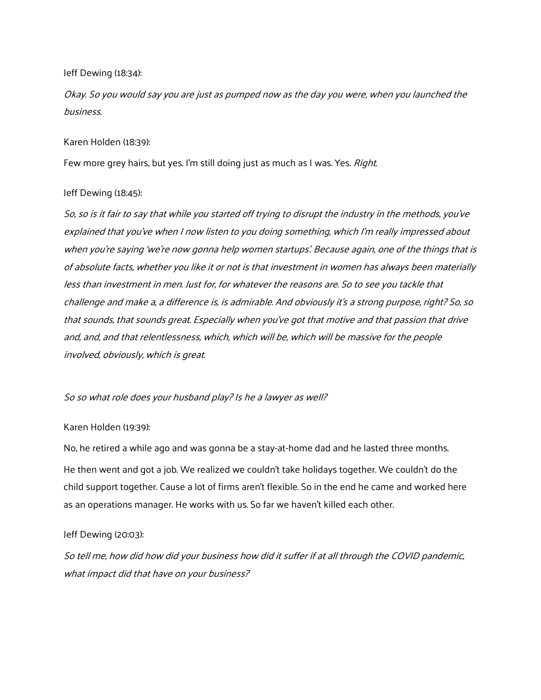# Jeff Dewing (18:34):

Okay. So you would say you are just as pumped now as the day you were, when you launched the business.

# Karen Holden (18:39):

Few more grey hairs, but yes. I'm still doing just as much as I was. Yes. Right.

# Jeff Dewing (18:45):

So, so is it fair to say that while you started off trying to disrupt the industry in the methods, you've explained that you've when I now listen to you doing something, which I'm really impressed about when you're saying 'we're now gonna help women startups'. Because again, one of the things that is of absolute facts, whether you like it or not is that investment in women has always been materially less than investment in men. Just for, for whatever the reasons are. So to see you tackle that challenge and make a, a difference is, is admirable. And obviously it's a strong purpose, right? So, so that sounds, that sounds great. Especially when you've got that motive and that passion that drive and, and, and that relentlessness, which, which will be, which will be massive for the people involved, obviously, which is great.

# So so what role does your husband play? Is he a lawyer as well?

# Karen Holden (19:39):

No, he retired a while ago and was gonna be a stay-at-home dad and he lasted three months. He then went and got a job. We realized we couldn't take holidays together. We couldn't do the child support together. Cause a lot of firms aren't flexible. So in the end he came and worked here as an operations manager. He works with us. So far we haven't killed each other.

# Jeff Dewing (20:03):

So tell me, how did how did your business how did it suffer if at all through the COVID pandemic, what impact did that have on your business?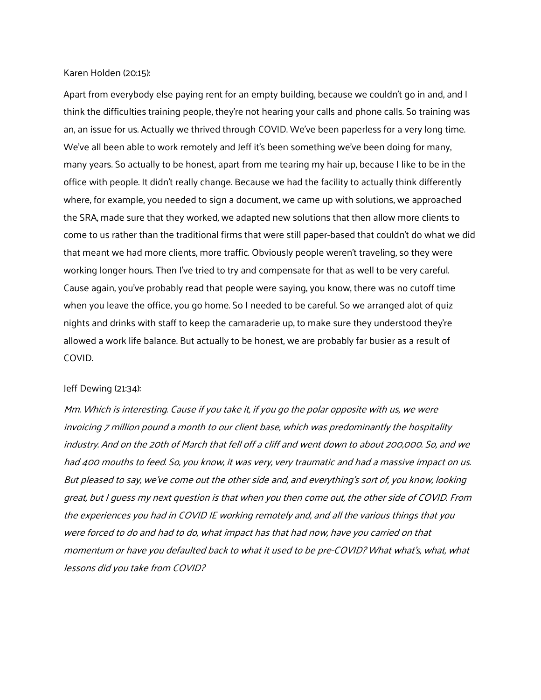#### Karen Holden (20:15):

Apart from everybody else paying rent for an empty building, because we couldn't go in and, and I think the difficulties training people, they're not hearing your calls and phone calls. So training was an, an issue for us. Actually we thrived through COVID. We've been paperless for a very long time. We've all been able to work remotely and Jeff it's been something we've been doing for many, many years. So actually to be honest, apart from me tearing my hair up, because I like to be in the office with people. It didn't really change. Because we had the facility to actually think differently where, for example, you needed to sign a document, we came up with solutions, we approached the SRA, made sure that they worked, we adapted new solutions that then allow more clients to come to us rather than the traditional firms that were still paper-based that couldn't do what we did that meant we had more clients, more traffic. Obviously people weren't traveling, so they were working longer hours. Then I've tried to try and compensate for that as well to be very careful. Cause again, you've probably read that people were saying, you know, there was no cutoff time when you leave the office, you go home. So I needed to be careful. So we arranged alot of quiz nights and drinks with staff to keep the camaraderie up, to make sure they understood they're allowed a work life balance. But actually to be honest, we are probably far busier as a result of COVID.

#### Jeff Dewing (21:34):

Mm. Which is interesting. Cause if you take it, if you go the polar opposite with us, we were invoicing 7 million pound a month to our client base, which was predominantly the hospitality industry. And on the 20th of March that fell off a cliff and went down to about 200,000. So, and we had 400 mouths to feed. So, you know, it was very, very traumatic and had a massive impact on us. But pleased to say, we've come out the other side and, and everything's sort of, you know, looking great, but I guess my next question is that when you then come out, the other side of COVID. From the experiences you had in COVID IE working remotely and, and all the various things that you were forced to do and had to do, what impact has that had now, have you carried on that momentum or have you defaulted back to what it used to be pre-COVID? What what's, what, what lessons did you take from COVID?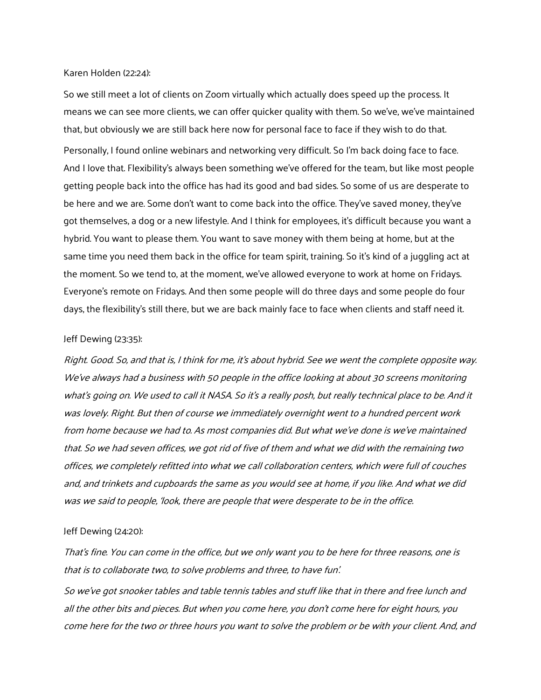## Karen Holden (22:24):

So we still meet a lot of clients on Zoom virtually which actually does speed up the process. It means we can see more clients, we can offer quicker quality with them. So we've, we've maintained that, but obviously we are still back here now for personal face to face if they wish to do that. Personally, I found online webinars and networking very difficult. So I'm back doing face to face. And I love that. Flexibility's always been something we've offered for the team, but like most people getting people back into the office has had its good and bad sides. So some of us are desperate to be here and we are. Some don't want to come back into the office. They've saved money, they've got themselves, a dog or a new lifestyle. And I think for employees, it's difficult because you want a hybrid. You want to please them. You want to save money with them being at home, but at the same time you need them back in the office for team spirit, training. So it's kind of a juggling act at the moment. So we tend to, at the moment, we've allowed everyone to work at home on Fridays. Everyone's remote on Fridays. And then some people will do three days and some people do four days, the flexibility's still there, but we are back mainly face to face when clients and staff need it.

#### Jeff Dewing (23:35):

Right. Good. So, and that is, I think for me, it's about hybrid. See we went the complete opposite way. We've always had a business with 50 people in the office looking at about 30 screens monitoring what's going on. We used to call it NASA. So it's a really posh, but really technical place to be. And it was lovely. Right. But then of course we immediately overnight went to a hundred percent work from home because we had to. As most companies did. But what we've done is we've maintained that. So we had seven offices, we got rid of five of them and what we did with the remaining two offices, we completely refitted into what we call collaboration centers, which were full of couches and, and trinkets and cupboards the same as you would see at home, if you like. And what we did was we said to people, 'look, there are people that were desperate to be in the office.

#### Jeff Dewing (24:20):

That's fine. You can come in the office, but we only want you to be here for three reasons, one is that is to collaborate two, to solve problems and three, to have fun'.

So we've got snooker tables and table tennis tables and stuff like that in there and free lunch and all the other bits and pieces. But when you come here, you don't come here for eight hours, you come here for the two or three hours you want to solve the problem or be with your client. And, and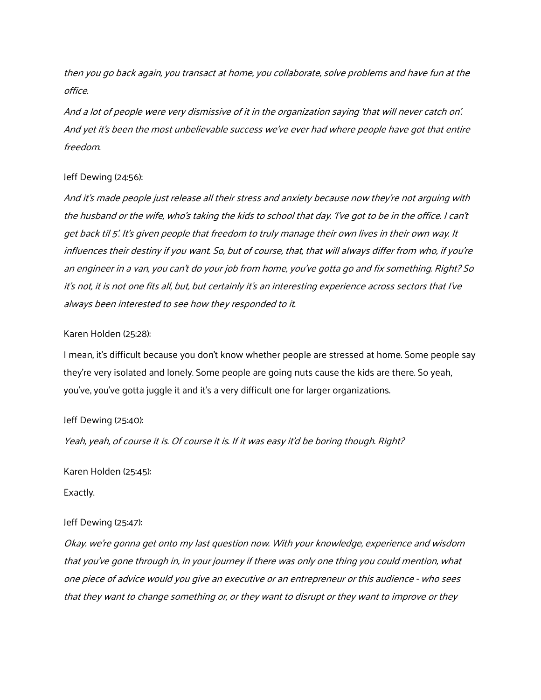then you go back again, you transact at home, you collaborate, solve problems and have fun at the office.

And a lot of people were very dismissive of it in the organization saying 'that will never catch on'. And yet it's been the most unbelievable success we've ever had where people have got that entire freedom.

# Jeff Dewing (24:56):

And it's made people just release all their stress and anxiety because now they're not arguing with the husband or the wife, who's taking the kids to school that day. 'I've got to be in the office. I can't get back til 5'. It's given people that freedom to truly manage their own lives in their own way. It influences their destiny if you want. So, but of course, that, that will always differ from who, if you're an engineer in a van, you can't do your job from home, you've gotta go and fix something. Right? So it's not, it is not one fits all, but, but certainly it's an interesting experience across sectors that I've always been interested to see how they responded to it.

### Karen Holden (25:28):

I mean, it's difficult because you don't know whether people are stressed at home. Some people say they're very isolated and lonely. Some people are going nuts cause the kids are there. So yeah, you've, you've gotta juggle it and it's a very difficult one for larger organizations.

### Jeff Dewing (25:40):

Yeah, yeah, of course it is. Of course it is. If it was easy it'd be boring though. Right?

Karen Holden (25:45):

Exactly.

#### Jeff Dewing (25:47):

Okay. we're gonna get onto my last question now. With your knowledge, experience and wisdom that you've gone through in, in your journey if there was only one thing you could mention, what one piece of advice would you give an executive or an entrepreneur or this audience - who sees that they want to change something or, or they want to disrupt or they want to improve or they